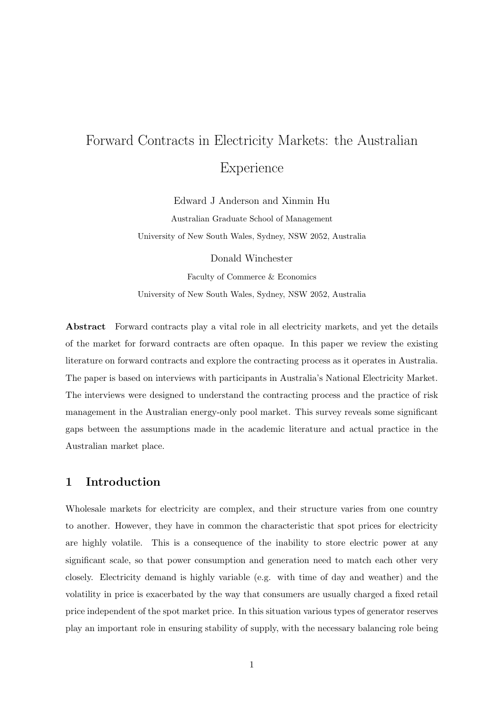# Forward Contracts in Electricity Markets: the Australian Experience

Edward J Anderson and Xinmin Hu Australian Graduate School of Management University of New South Wales, Sydney, NSW 2052, Australia

Donald Winchester Faculty of Commerce & Economics University of New South Wales, Sydney, NSW 2052, Australia

Abstract Forward contracts play a vital role in all electricity markets, and yet the details of the market for forward contracts are often opaque. In this paper we review the existing literature on forward contracts and explore the contracting process as it operates in Australia. The paper is based on interviews with participants in Australia's National Electricity Market. The interviews were designed to understand the contracting process and the practice of risk management in the Australian energy-only pool market. This survey reveals some significant gaps between the assumptions made in the academic literature and actual practice in the Australian market place.

# 1 Introduction

Wholesale markets for electricity are complex, and their structure varies from one country to another. However, they have in common the characteristic that spot prices for electricity are highly volatile. This is a consequence of the inability to store electric power at any significant scale, so that power consumption and generation need to match each other very closely. Electricity demand is highly variable (e.g. with time of day and weather) and the volatility in price is exacerbated by the way that consumers are usually charged a fixed retail price independent of the spot market price. In this situation various types of generator reserves play an important role in ensuring stability of supply, with the necessary balancing role being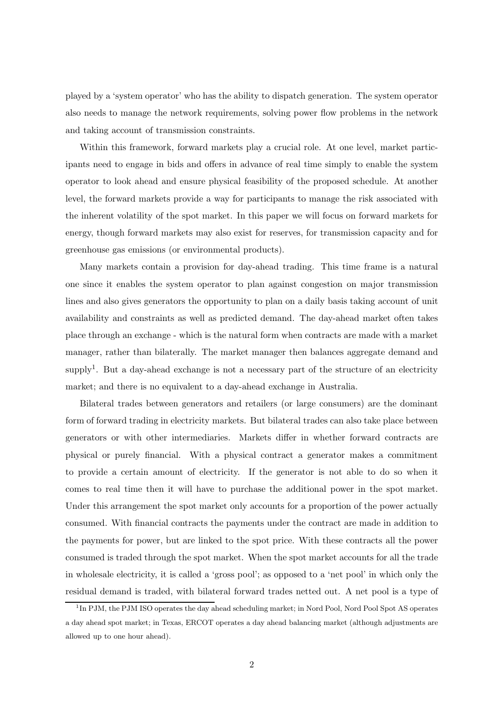played by a 'system operator' who has the ability to dispatch generation. The system operator also needs to manage the network requirements, solving power flow problems in the network and taking account of transmission constraints.

Within this framework, forward markets play a crucial role. At one level, market participants need to engage in bids and offers in advance of real time simply to enable the system operator to look ahead and ensure physical feasibility of the proposed schedule. At another level, the forward markets provide a way for participants to manage the risk associated with the inherent volatility of the spot market. In this paper we will focus on forward markets for energy, though forward markets may also exist for reserves, for transmission capacity and for greenhouse gas emissions (or environmental products).

Many markets contain a provision for day-ahead trading. This time frame is a natural one since it enables the system operator to plan against congestion on major transmission lines and also gives generators the opportunity to plan on a daily basis taking account of unit availability and constraints as well as predicted demand. The day-ahead market often takes place through an exchange - which is the natural form when contracts are made with a market manager, rather than bilaterally. The market manager then balances aggregate demand and supply<sup>1</sup>. But a day-ahead exchange is not a necessary part of the structure of an electricity market; and there is no equivalent to a day-ahead exchange in Australia.

Bilateral trades between generators and retailers (or large consumers) are the dominant form of forward trading in electricity markets. But bilateral trades can also take place between generators or with other intermediaries. Markets differ in whether forward contracts are physical or purely financial. With a physical contract a generator makes a commitment to provide a certain amount of electricity. If the generator is not able to do so when it comes to real time then it will have to purchase the additional power in the spot market. Under this arrangement the spot market only accounts for a proportion of the power actually consumed. With financial contracts the payments under the contract are made in addition to the payments for power, but are linked to the spot price. With these contracts all the power consumed is traded through the spot market. When the spot market accounts for all the trade in wholesale electricity, it is called a 'gross pool'; as opposed to a 'net pool' in which only the residual demand is traded, with bilateral forward trades netted out. A net pool is a type of

<sup>&</sup>lt;sup>1</sup>In PJM, the PJM ISO operates the day ahead scheduling market; in Nord Pool, Nord Pool Spot AS operates a day ahead spot market; in Texas, ERCOT operates a day ahead balancing market (although adjustments are allowed up to one hour ahead).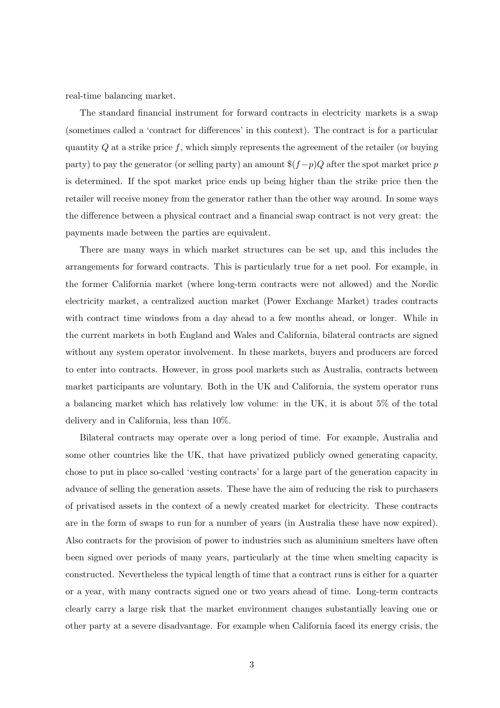real-time balancing market.

The standard financial instrument for forward contracts in electricity markets is a swap (sometimes called a 'contract for differences' in this context). The contract is for a particular quantity  $Q$  at a strike price f, which simply represents the agreement of the retailer (or buying party) to pay the generator (or selling party) an amount  $\frac{s(f-p)}{Q}$  after the spot market price p is determined. If the spot market price ends up being higher than the strike price then the retailer will receive money from the generator rather than the other way around. In some ways the difference between a physical contract and a financial swap contract is not very great: the payments made between the parties are equivalent.

There are many ways in which market structures can be set up, and this includes the arrangements for forward contracts. This is particularly true for a net pool. For example, in the former California market (where long-term contracts were not allowed) and the Nordic electricity market, a centralized auction market (Power Exchange Market) trades contracts with contract time windows from a day ahead to a few months ahead, or longer. While in the current markets in both England and Wales and California, bilateral contracts are signed without any system operator involvement. In these markets, buyers and producers are forced to enter into contracts. However, in gross pool markets such as Australia, contracts between market participants are voluntary. Both in the UK and California, the system operator runs a balancing market which has relatively low volume: in the UK, it is about 5% of the total delivery and in California, less than 10%.

Bilateral contracts may operate over a long period of time. For example, Australia and some other countries like the UK, that have privatized publicly owned generating capacity, chose to put in place so-called 'vesting contracts' for a large part of the generation capacity in advance of selling the generation assets. These have the aim of reducing the risk to purchasers of privatised assets in the context of a newly created market for electricity. These contracts are in the form of swaps to run for a number of years (in Australia these have now expired). Also contracts for the provision of power to industries such as aluminium smelters have often been signed over periods of many years, particularly at the time when smelting capacity is constructed. Nevertheless the typical length of time that a contract runs is either for a quarter or a year, with many contracts signed one or two years ahead of time. Long-term contracts clearly carry a large risk that the market environment changes substantially leaving one or other party at a severe disadvantage. For example when California faced its energy crisis, the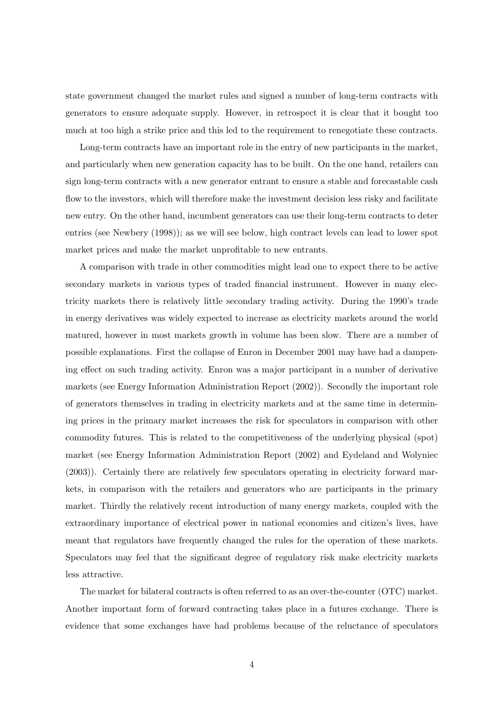state government changed the market rules and signed a number of long-term contracts with generators to ensure adequate supply. However, in retrospect it is clear that it bought too much at too high a strike price and this led to the requirement to renegotiate these contracts.

Long-term contracts have an important role in the entry of new participants in the market, and particularly when new generation capacity has to be built. On the one hand, retailers can sign long-term contracts with a new generator entrant to ensure a stable and forecastable cash flow to the investors, which will therefore make the investment decision less risky and facilitate new entry. On the other hand, incumbent generators can use their long-term contracts to deter entries (see Newbery (1998)); as we will see below, high contract levels can lead to lower spot market prices and make the market unprofitable to new entrants.

A comparison with trade in other commodities might lead one to expect there to be active secondary markets in various types of traded financial instrument. However in many electricity markets there is relatively little secondary trading activity. During the 1990's trade in energy derivatives was widely expected to increase as electricity markets around the world matured, however in most markets growth in volume has been slow. There are a number of possible explanations. First the collapse of Enron in December 2001 may have had a dampening effect on such trading activity. Enron was a major participant in a number of derivative markets (see Energy Information Administration Report (2002)). Secondly the important role of generators themselves in trading in electricity markets and at the same time in determining prices in the primary market increases the risk for speculators in comparison with other commodity futures. This is related to the competitiveness of the underlying physical (spot) market (see Energy Information Administration Report (2002) and Eydeland and Wolyniec (2003)). Certainly there are relatively few speculators operating in electricity forward markets, in comparison with the retailers and generators who are participants in the primary market. Thirdly the relatively recent introduction of many energy markets, coupled with the extraordinary importance of electrical power in national economies and citizen's lives, have meant that regulators have frequently changed the rules for the operation of these markets. Speculators may feel that the significant degree of regulatory risk make electricity markets less attractive.

The market for bilateral contracts is often referred to as an over-the-counter (OTC) market. Another important form of forward contracting takes place in a futures exchange. There is evidence that some exchanges have had problems because of the reluctance of speculators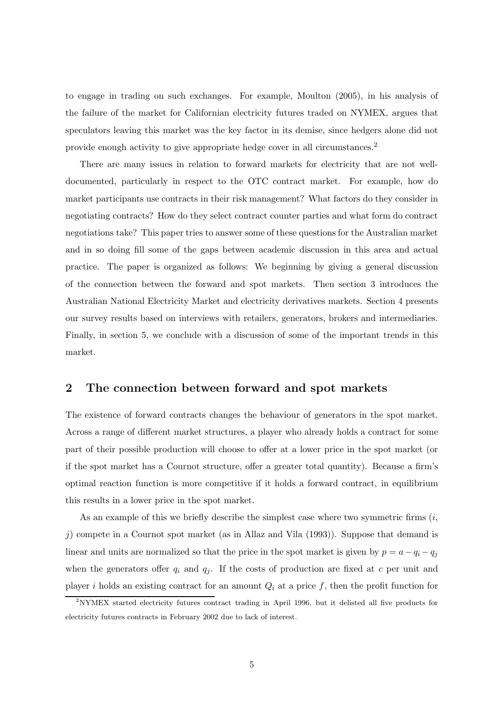to engage in trading on such exchanges. For example, Moulton (2005), in his analysis of the failure of the market for Californian electricity futures traded on NYMEX, argues that speculators leaving this market was the key factor in its demise, since hedgers alone did not provide enough activity to give appropriate hedge cover in all circumstances.<sup>2</sup>

There are many issues in relation to forward markets for electricity that are not welldocumented, particularly in respect to the OTC contract market. For example, how do market participants use contracts in their risk management? What factors do they consider in negotiating contracts? How do they select contract counter parties and what form do contract negotiations take? This paper tries to answer some of these questions for the Australian market and in so doing fill some of the gaps between academic discussion in this area and actual practice. The paper is organized as follows: We beginning by giving a general discussion of the connection between the forward and spot markets. Then section 3 introduces the Australian National Electricity Market and electricity derivatives markets. Section 4 presents our survey results based on interviews with retailers, generators, brokers and intermediaries. Finally, in section 5, we conclude with a discussion of some of the important trends in this market.

## 2 The connection between forward and spot markets

The existence of forward contracts changes the behaviour of generators in the spot market. Across a range of different market structures, a player who already holds a contract for some part of their possible production will choose to offer at a lower price in the spot market (or if the spot market has a Cournot structure, offer a greater total quantity). Because a firm's optimal reaction function is more competitive if it holds a forward contract, in equilibrium this results in a lower price in the spot market.

As an example of this we briefly describe the simplest case where two symmetric firms  $(i,$ j) compete in a Cournot spot market (as in Allaz and Vila  $(1993)$ ). Suppose that demand is linear and units are normalized so that the price in the spot market is given by  $p = a - q_i - q_j$ when the generators offer  $q_i$  and  $q_j$ . If the costs of production are fixed at c per unit and player i holds an existing contract for an amount  $Q_i$  at a price f, then the profit function for

<sup>2</sup>NYMEX started electricity futures contract trading in April 1996, but it delisted all five products for electricity futures contracts in February 2002 due to lack of interest.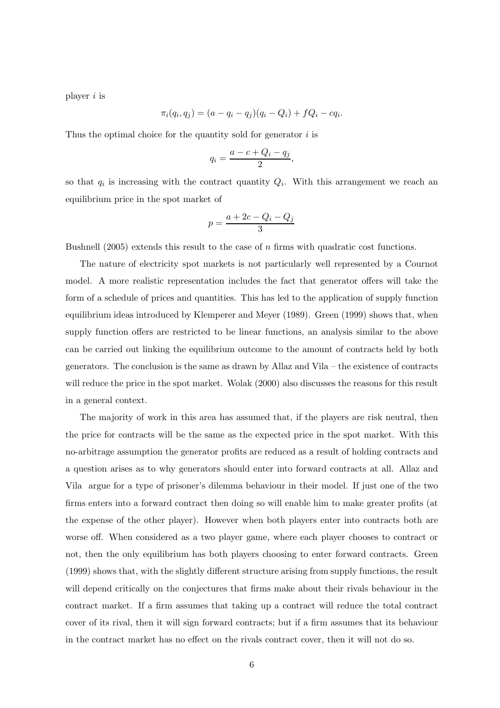player i is

$$
\pi_i(q_i, q_j) = (a - q_i - q_j)(q_i - Q_i) + fQ_i - cq_i.
$$

Thus the optimal choice for the quantity sold for generator  $i$  is

$$
q_i = \frac{a - c + Q_i - q_j}{2},
$$

so that  $q_i$  is increasing with the contract quantity  $Q_i$ . With this arrangement we reach an equilibrium price in the spot market of

$$
p = \frac{a + 2c - Q_i - Q_j}{3}
$$

Bushnell (2005) extends this result to the case of  $n$  firms with quadratic cost functions.

The nature of electricity spot markets is not particularly well represented by a Cournot model. A more realistic representation includes the fact that generator offers will take the form of a schedule of prices and quantities. This has led to the application of supply function equilibrium ideas introduced by Klemperer and Meyer (1989). Green (1999) shows that, when supply function offers are restricted to be linear functions, an analysis similar to the above can be carried out linking the equilibrium outcome to the amount of contracts held by both generators. The conclusion is the same as drawn by Allaz and Vila – the existence of contracts will reduce the price in the spot market. Wolak (2000) also discusses the reasons for this result in a general context.

The majority of work in this area has assumed that, if the players are risk neutral, then the price for contracts will be the same as the expected price in the spot market. With this no-arbitrage assumption the generator profits are reduced as a result of holding contracts and a question arises as to why generators should enter into forward contracts at all. Allaz and Vila argue for a type of prisoner's dilemma behaviour in their model. If just one of the two firms enters into a forward contract then doing so will enable him to make greater profits (at the expense of the other player). However when both players enter into contracts both are worse off. When considered as a two player game, where each player chooses to contract or not, then the only equilibrium has both players choosing to enter forward contracts. Green (1999) shows that, with the slightly different structure arising from supply functions, the result will depend critically on the conjectures that firms make about their rivals behaviour in the contract market. If a firm assumes that taking up a contract will reduce the total contract cover of its rival, then it will sign forward contracts; but if a firm assumes that its behaviour in the contract market has no effect on the rivals contract cover, then it will not do so.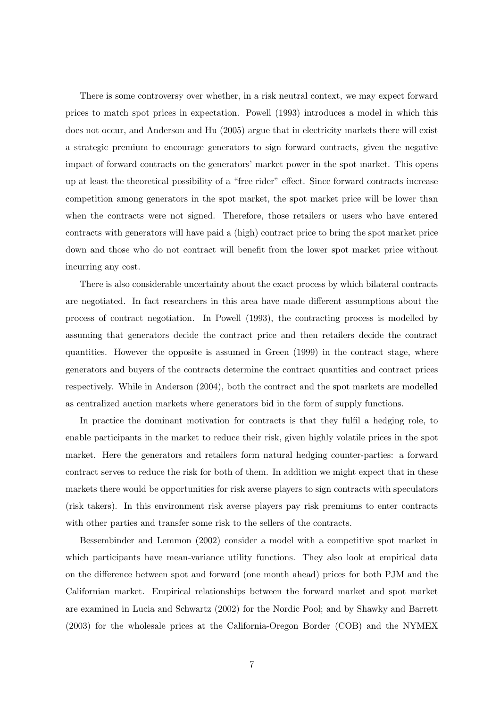There is some controversy over whether, in a risk neutral context, we may expect forward prices to match spot prices in expectation. Powell (1993) introduces a model in which this does not occur, and Anderson and Hu (2005) argue that in electricity markets there will exist a strategic premium to encourage generators to sign forward contracts, given the negative impact of forward contracts on the generators' market power in the spot market. This opens up at least the theoretical possibility of a "free rider" effect. Since forward contracts increase competition among generators in the spot market, the spot market price will be lower than when the contracts were not signed. Therefore, those retailers or users who have entered contracts with generators will have paid a (high) contract price to bring the spot market price down and those who do not contract will benefit from the lower spot market price without incurring any cost.

There is also considerable uncertainty about the exact process by which bilateral contracts are negotiated. In fact researchers in this area have made different assumptions about the process of contract negotiation. In Powell (1993), the contracting process is modelled by assuming that generators decide the contract price and then retailers decide the contract quantities. However the opposite is assumed in Green (1999) in the contract stage, where generators and buyers of the contracts determine the contract quantities and contract prices respectively. While in Anderson (2004), both the contract and the spot markets are modelled as centralized auction markets where generators bid in the form of supply functions.

In practice the dominant motivation for contracts is that they fulfil a hedging role, to enable participants in the market to reduce their risk, given highly volatile prices in the spot market. Here the generators and retailers form natural hedging counter-parties: a forward contract serves to reduce the risk for both of them. In addition we might expect that in these markets there would be opportunities for risk averse players to sign contracts with speculators (risk takers). In this environment risk averse players pay risk premiums to enter contracts with other parties and transfer some risk to the sellers of the contracts.

Bessembinder and Lemmon (2002) consider a model with a competitive spot market in which participants have mean-variance utility functions. They also look at empirical data on the difference between spot and forward (one month ahead) prices for both PJM and the Californian market. Empirical relationships between the forward market and spot market are examined in Lucia and Schwartz (2002) for the Nordic Pool; and by Shawky and Barrett (2003) for the wholesale prices at the California-Oregon Border (COB) and the NYMEX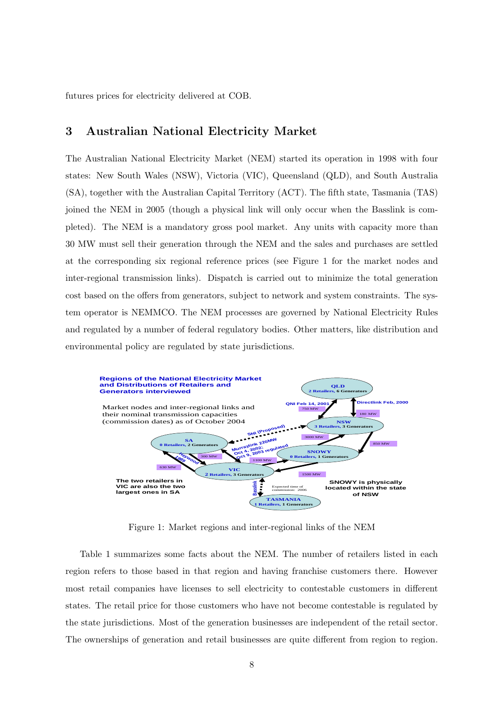futures prices for electricity delivered at COB.

## 3 Australian National Electricity Market

The Australian National Electricity Market (NEM) started its operation in 1998 with four states: New South Wales (NSW), Victoria (VIC), Queensland (QLD), and South Australia (SA), together with the Australian Capital Territory (ACT). The fifth state, Tasmania (TAS) joined the NEM in 2005 (though a physical link will only occur when the Basslink is completed). The NEM is a mandatory gross pool market. Any units with capacity more than 30 MW must sell their generation through the NEM and the sales and purchases are settled at the corresponding six regional reference prices (see Figure 1 for the market nodes and inter-regional transmission links). Dispatch is carried out to minimize the total generation cost based on the offers from generators, subject to network and system constraints. The system operator is NEMMCO. The NEM processes are governed by National Electricity Rules and regulated by a number of federal regulatory bodies. Other matters, like distribution and environmental policy are regulated by state jurisdictions.



Figure 1: Market regions and inter-regional links of the NEM

Table 1 summarizes some facts about the NEM. The number of retailers listed in each region refers to those based in that region and having franchise customers there. However most retail companies have licenses to sell electricity to contestable customers in different states. The retail price for those customers who have not become contestable is regulated by the state jurisdictions. Most of the generation businesses are independent of the retail sector. The ownerships of generation and retail businesses are quite different from region to region.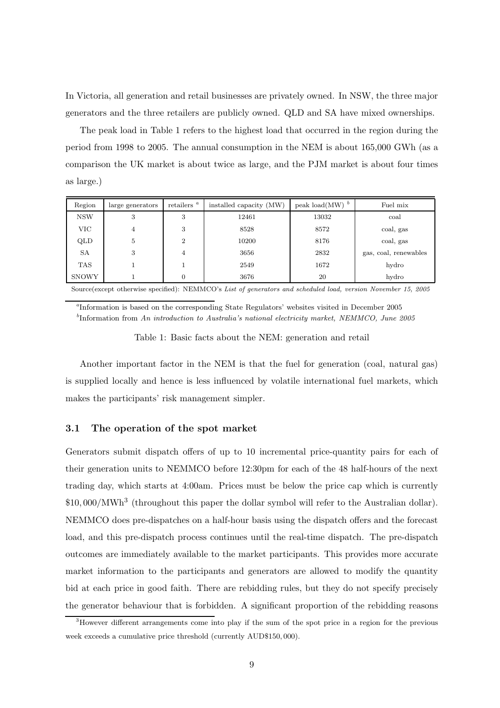In Victoria, all generation and retail businesses are privately owned. In NSW, the three major generators and the three retailers are publicly owned. QLD and SA have mixed ownerships.

The peak load in Table 1 refers to the highest load that occurred in the region during the period from 1998 to 2005. The annual consumption in the NEM is about 165,000 GWh (as a comparison the UK market is about twice as large, and the PJM market is about four times as large.)

| Region       | large generators | retailers $a$  | installed capacity (MW) | peak load(MW) $^b$ | Fuel mix              |
|--------------|------------------|----------------|-------------------------|--------------------|-----------------------|
| <b>NSW</b>   | 3                | 3              | 12461                   | 13032              | coal                  |
| <b>VIC</b>   | $\overline{4}$   | 3              | 8528                    | 8572               | coal, gas             |
| QLD          | 5                | $\overline{2}$ | 10200                   | 8176               | coal, gas             |
| SА           | 3                | $\overline{4}$ | 3656                    | 2832               | gas, coal, renewables |
| <b>TAS</b>   |                  |                | 2549                    | 1672               | hydro                 |
| <b>SNOWY</b> |                  | $\Omega$       | 3676                    | 20                 | hydro                 |

Source(except otherwise specified): NEMMCO's List of generators and scheduled load, version November 15, 2005

a Information is based on the corresponding State Regulators' websites visited in December 2005  $^{b}$ Information from An introduction to Australia's national electricity market, NEMMCO, June 2005

Table 1: Basic facts about the NEM: generation and retail

Another important factor in the NEM is that the fuel for generation (coal, natural gas) is supplied locally and hence is less influenced by volatile international fuel markets, which makes the participants' risk management simpler.

## 3.1 The operation of the spot market

Generators submit dispatch offers of up to 10 incremental price-quantity pairs for each of their generation units to NEMMCO before 12:30pm for each of the 48 half-hours of the next trading day, which starts at 4:00am. Prices must be below the price cap which is currently  $$10,000/MWh<sup>3</sup>$  (throughout this paper the dollar symbol will refer to the Australian dollar). NEMMCO does pre-dispatches on a half-hour basis using the dispatch offers and the forecast load, and this pre-dispatch process continues until the real-time dispatch. The pre-dispatch outcomes are immediately available to the market participants. This provides more accurate market information to the participants and generators are allowed to modify the quantity bid at each price in good faith. There are rebidding rules, but they do not specify precisely the generator behaviour that is forbidden. A significant proportion of the rebidding reasons

<sup>3</sup>However different arrangements come into play if the sum of the spot price in a region for the previous week exceeds a cumulative price threshold (currently AUD\$150, 000).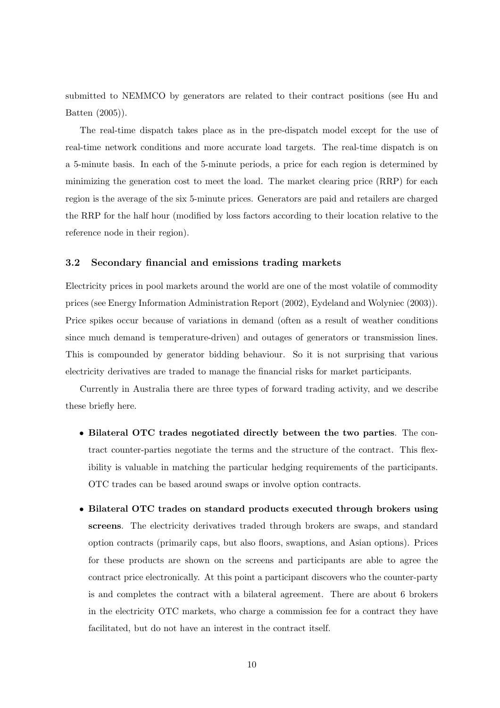submitted to NEMMCO by generators are related to their contract positions (see Hu and Batten (2005)).

The real-time dispatch takes place as in the pre-dispatch model except for the use of real-time network conditions and more accurate load targets. The real-time dispatch is on a 5-minute basis. In each of the 5-minute periods, a price for each region is determined by minimizing the generation cost to meet the load. The market clearing price (RRP) for each region is the average of the six 5-minute prices. Generators are paid and retailers are charged the RRP for the half hour (modified by loss factors according to their location relative to the reference node in their region).

## 3.2 Secondary financial and emissions trading markets

Electricity prices in pool markets around the world are one of the most volatile of commodity prices (see Energy Information Administration Report (2002), Eydeland and Wolyniec (2003)). Price spikes occur because of variations in demand (often as a result of weather conditions since much demand is temperature-driven) and outages of generators or transmission lines. This is compounded by generator bidding behaviour. So it is not surprising that various electricity derivatives are traded to manage the financial risks for market participants.

Currently in Australia there are three types of forward trading activity, and we describe these briefly here.

- Bilateral OTC trades negotiated directly between the two parties. The contract counter-parties negotiate the terms and the structure of the contract. This flexibility is valuable in matching the particular hedging requirements of the participants. OTC trades can be based around swaps or involve option contracts.
- Bilateral OTC trades on standard products executed through brokers using screens. The electricity derivatives traded through brokers are swaps, and standard option contracts (primarily caps, but also floors, swaptions, and Asian options). Prices for these products are shown on the screens and participants are able to agree the contract price electronically. At this point a participant discovers who the counter-party is and completes the contract with a bilateral agreement. There are about 6 brokers in the electricity OTC markets, who charge a commission fee for a contract they have facilitated, but do not have an interest in the contract itself.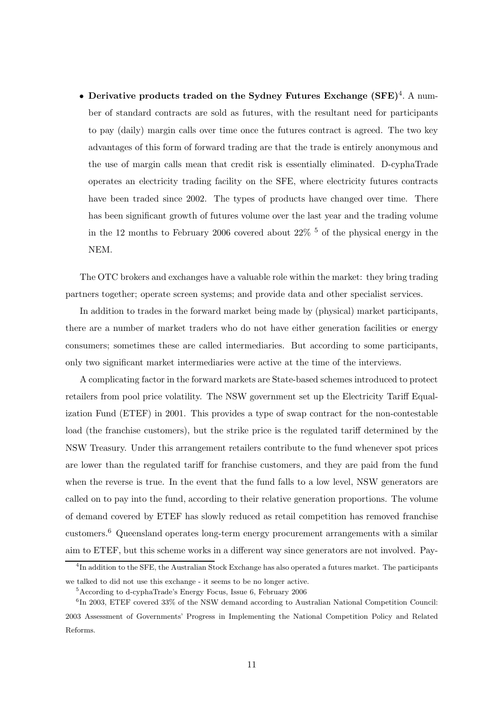• Derivative products traded on the Sydney Futures Exchange  $(SFE)^4$ . A number of standard contracts are sold as futures, with the resultant need for participants to pay (daily) margin calls over time once the futures contract is agreed. The two key advantages of this form of forward trading are that the trade is entirely anonymous and the use of margin calls mean that credit risk is essentially eliminated. D-cyphaTrade operates an electricity trading facility on the SFE, where electricity futures contracts have been traded since 2002. The types of products have changed over time. There has been significant growth of futures volume over the last year and the trading volume in the 12 months to February 2006 covered about  $22\%$ <sup>5</sup> of the physical energy in the NEM.

The OTC brokers and exchanges have a valuable role within the market: they bring trading partners together; operate screen systems; and provide data and other specialist services.

In addition to trades in the forward market being made by (physical) market participants, there are a number of market traders who do not have either generation facilities or energy consumers; sometimes these are called intermediaries. But according to some participants, only two significant market intermediaries were active at the time of the interviews.

A complicating factor in the forward markets are State-based schemes introduced to protect retailers from pool price volatility. The NSW government set up the Electricity Tariff Equalization Fund (ETEF) in 2001. This provides a type of swap contract for the non-contestable load (the franchise customers), but the strike price is the regulated tariff determined by the NSW Treasury. Under this arrangement retailers contribute to the fund whenever spot prices are lower than the regulated tariff for franchise customers, and they are paid from the fund when the reverse is true. In the event that the fund falls to a low level, NSW generators are called on to pay into the fund, according to their relative generation proportions. The volume of demand covered by ETEF has slowly reduced as retail competition has removed franchise customers.<sup>6</sup> Queensland operates long-term energy procurement arrangements with a similar aim to ETEF, but this scheme works in a different way since generators are not involved. Pay-

<sup>&</sup>lt;sup>4</sup>In addition to the SFE, the Australian Stock Exchange has also operated a futures market. The participants we talked to did not use this exchange - it seems to be no longer active.

<sup>5</sup>According to d-cyphaTrade's Energy Focus, Issue 6, February 2006

<sup>&</sup>lt;sup>6</sup>In 2003, ETEF covered 33% of the NSW demand according to Australian National Competition Council: 2003 Assessment of Governments' Progress in Implementing the National Competition Policy and Related Reforms.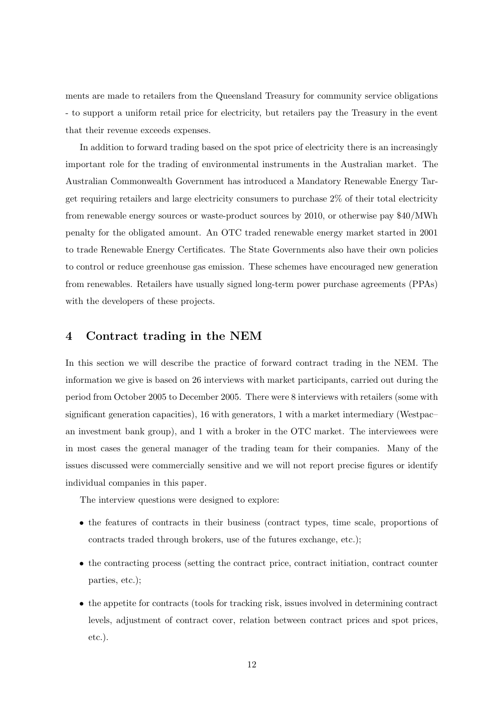ments are made to retailers from the Queensland Treasury for community service obligations - to support a uniform retail price for electricity, but retailers pay the Treasury in the event that their revenue exceeds expenses.

In addition to forward trading based on the spot price of electricity there is an increasingly important role for the trading of environmental instruments in the Australian market. The Australian Commonwealth Government has introduced a Mandatory Renewable Energy Target requiring retailers and large electricity consumers to purchase 2% of their total electricity from renewable energy sources or waste-product sources by 2010, or otherwise pay \$40/MWh penalty for the obligated amount. An OTC traded renewable energy market started in 2001 to trade Renewable Energy Certificates. The State Governments also have their own policies to control or reduce greenhouse gas emission. These schemes have encouraged new generation from renewables. Retailers have usually signed long-term power purchase agreements (PPAs) with the developers of these projects.

# 4 Contract trading in the NEM

In this section we will describe the practice of forward contract trading in the NEM. The information we give is based on 26 interviews with market participants, carried out during the period from October 2005 to December 2005. There were 8 interviews with retailers (some with significant generation capacities), 16 with generators, 1 with a market intermediary (Westpac– an investment bank group), and 1 with a broker in the OTC market. The interviewees were in most cases the general manager of the trading team for their companies. Many of the issues discussed were commercially sensitive and we will not report precise figures or identify individual companies in this paper.

The interview questions were designed to explore:

- the features of contracts in their business (contract types, time scale, proportions of contracts traded through brokers, use of the futures exchange, etc.);
- the contracting process (setting the contract price, contract initiation, contract counter parties, etc.);
- the appetite for contracts (tools for tracking risk, issues involved in determining contract levels, adjustment of contract cover, relation between contract prices and spot prices, etc.).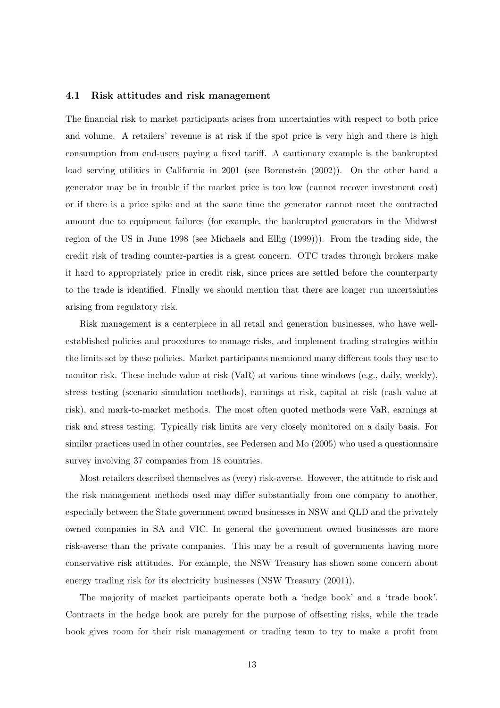#### 4.1 Risk attitudes and risk management

The financial risk to market participants arises from uncertainties with respect to both price and volume. A retailers' revenue is at risk if the spot price is very high and there is high consumption from end-users paying a fixed tariff. A cautionary example is the bankrupted load serving utilities in California in 2001 (see Borenstein (2002)). On the other hand a generator may be in trouble if the market price is too low (cannot recover investment cost) or if there is a price spike and at the same time the generator cannot meet the contracted amount due to equipment failures (for example, the bankrupted generators in the Midwest region of the US in June 1998 (see Michaels and Ellig (1999))). From the trading side, the credit risk of trading counter-parties is a great concern. OTC trades through brokers make it hard to appropriately price in credit risk, since prices are settled before the counterparty to the trade is identified. Finally we should mention that there are longer run uncertainties arising from regulatory risk.

Risk management is a centerpiece in all retail and generation businesses, who have wellestablished policies and procedures to manage risks, and implement trading strategies within the limits set by these policies. Market participants mentioned many different tools they use to monitor risk. These include value at risk (VaR) at various time windows (e.g., daily, weekly), stress testing (scenario simulation methods), earnings at risk, capital at risk (cash value at risk), and mark-to-market methods. The most often quoted methods were VaR, earnings at risk and stress testing. Typically risk limits are very closely monitored on a daily basis. For similar practices used in other countries, see Pedersen and Mo (2005) who used a questionnaire survey involving 37 companies from 18 countries.

Most retailers described themselves as (very) risk-averse. However, the attitude to risk and the risk management methods used may differ substantially from one company to another, especially between the State government owned businesses in NSW and QLD and the privately owned companies in SA and VIC. In general the government owned businesses are more risk-averse than the private companies. This may be a result of governments having more conservative risk attitudes. For example, the NSW Treasury has shown some concern about energy trading risk for its electricity businesses (NSW Treasury (2001)).

The majority of market participants operate both a 'hedge book' and a 'trade book'. Contracts in the hedge book are purely for the purpose of offsetting risks, while the trade book gives room for their risk management or trading team to try to make a profit from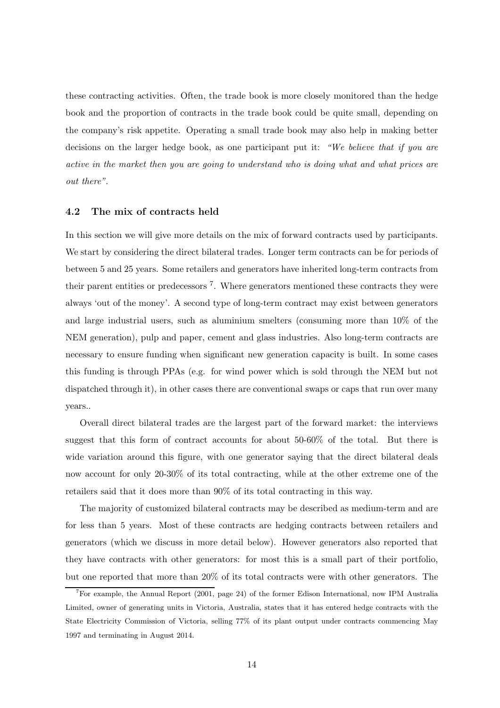these contracting activities. Often, the trade book is more closely monitored than the hedge book and the proportion of contracts in the trade book could be quite small, depending on the company's risk appetite. Operating a small trade book may also help in making better decisions on the larger hedge book, as one participant put it: "We believe that if you are active in the market then you are going to understand who is doing what and what prices are out there".

#### 4.2 The mix of contracts held

In this section we will give more details on the mix of forward contracts used by participants. We start by considering the direct bilateral trades. Longer term contracts can be for periods of between 5 and 25 years. Some retailers and generators have inherited long-term contracts from their parent entities or predecessors<sup>7</sup>. Where generators mentioned these contracts they were always 'out of the money'. A second type of long-term contract may exist between generators and large industrial users, such as aluminium smelters (consuming more than 10% of the NEM generation), pulp and paper, cement and glass industries. Also long-term contracts are necessary to ensure funding when significant new generation capacity is built. In some cases this funding is through PPAs (e.g. for wind power which is sold through the NEM but not dispatched through it), in other cases there are conventional swaps or caps that run over many years..

Overall direct bilateral trades are the largest part of the forward market: the interviews suggest that this form of contract accounts for about 50-60% of the total. But there is wide variation around this figure, with one generator saying that the direct bilateral deals now account for only 20-30% of its total contracting, while at the other extreme one of the retailers said that it does more than 90% of its total contracting in this way.

The majority of customized bilateral contracts may be described as medium-term and are for less than 5 years. Most of these contracts are hedging contracts between retailers and generators (which we discuss in more detail below). However generators also reported that they have contracts with other generators: for most this is a small part of their portfolio, but one reported that more than 20% of its total contracts were with other generators. The

 ${}^{7}$ For example, the Annual Report (2001, page 24) of the former Edison International, now IPM Australia Limited, owner of generating units in Victoria, Australia, states that it has entered hedge contracts with the State Electricity Commission of Victoria, selling 77% of its plant output under contracts commencing May 1997 and terminating in August 2014.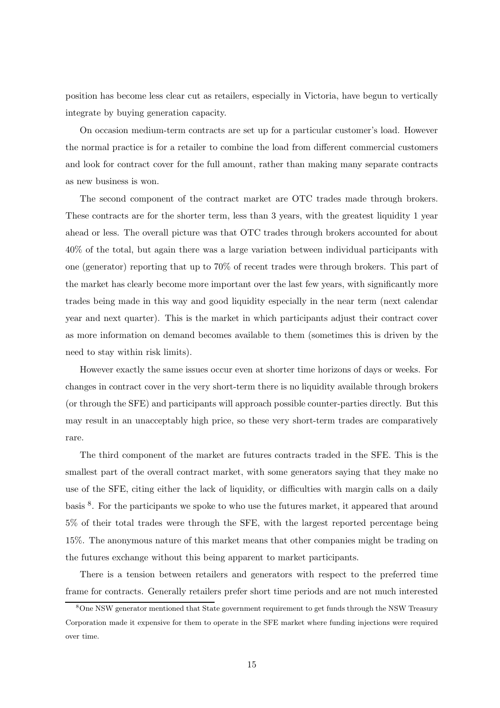position has become less clear cut as retailers, especially in Victoria, have begun to vertically integrate by buying generation capacity.

On occasion medium-term contracts are set up for a particular customer's load. However the normal practice is for a retailer to combine the load from different commercial customers and look for contract cover for the full amount, rather than making many separate contracts as new business is won.

The second component of the contract market are OTC trades made through brokers. These contracts are for the shorter term, less than 3 years, with the greatest liquidity 1 year ahead or less. The overall picture was that OTC trades through brokers accounted for about 40% of the total, but again there was a large variation between individual participants with one (generator) reporting that up to 70% of recent trades were through brokers. This part of the market has clearly become more important over the last few years, with significantly more trades being made in this way and good liquidity especially in the near term (next calendar year and next quarter). This is the market in which participants adjust their contract cover as more information on demand becomes available to them (sometimes this is driven by the need to stay within risk limits).

However exactly the same issues occur even at shorter time horizons of days or weeks. For changes in contract cover in the very short-term there is no liquidity available through brokers (or through the SFE) and participants will approach possible counter-parties directly. But this may result in an unacceptably high price, so these very short-term trades are comparatively rare.

The third component of the market are futures contracts traded in the SFE. This is the smallest part of the overall contract market, with some generators saying that they make no use of the SFE, citing either the lack of liquidity, or difficulties with margin calls on a daily basis <sup>8</sup> . For the participants we spoke to who use the futures market, it appeared that around 5% of their total trades were through the SFE, with the largest reported percentage being 15%. The anonymous nature of this market means that other companies might be trading on the futures exchange without this being apparent to market participants.

There is a tension between retailers and generators with respect to the preferred time frame for contracts. Generally retailers prefer short time periods and are not much interested

<sup>&</sup>lt;sup>8</sup>One NSW generator mentioned that State government requirement to get funds through the NSW Treasury Corporation made it expensive for them to operate in the SFE market where funding injections were required over time.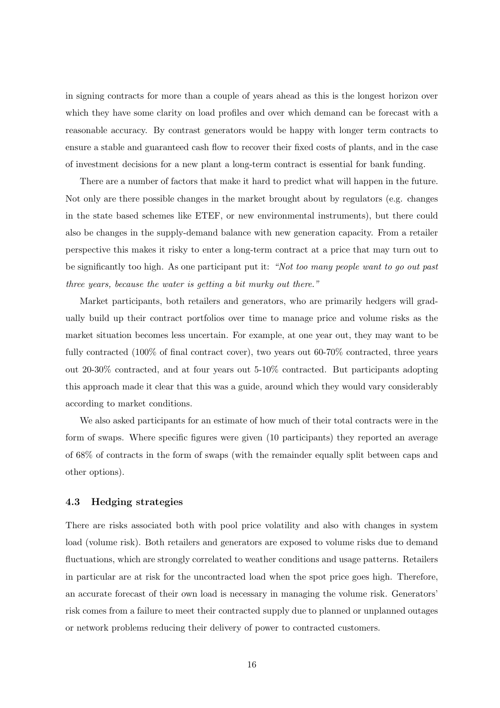in signing contracts for more than a couple of years ahead as this is the longest horizon over which they have some clarity on load profiles and over which demand can be forecast with a reasonable accuracy. By contrast generators would be happy with longer term contracts to ensure a stable and guaranteed cash flow to recover their fixed costs of plants, and in the case of investment decisions for a new plant a long-term contract is essential for bank funding.

There are a number of factors that make it hard to predict what will happen in the future. Not only are there possible changes in the market brought about by regulators (e.g. changes in the state based schemes like ETEF, or new environmental instruments), but there could also be changes in the supply-demand balance with new generation capacity. From a retailer perspective this makes it risky to enter a long-term contract at a price that may turn out to be significantly too high. As one participant put it: "Not too many people want to go out past three years, because the water is getting a bit murky out there."

Market participants, both retailers and generators, who are primarily hedgers will gradually build up their contract portfolios over time to manage price and volume risks as the market situation becomes less uncertain. For example, at one year out, they may want to be fully contracted (100% of final contract cover), two years out 60-70% contracted, three years out 20-30% contracted, and at four years out 5-10% contracted. But participants adopting this approach made it clear that this was a guide, around which they would vary considerably according to market conditions.

We also asked participants for an estimate of how much of their total contracts were in the form of swaps. Where specific figures were given (10 participants) they reported an average of 68% of contracts in the form of swaps (with the remainder equally split between caps and other options).

### 4.3 Hedging strategies

There are risks associated both with pool price volatility and also with changes in system load (volume risk). Both retailers and generators are exposed to volume risks due to demand fluctuations, which are strongly correlated to weather conditions and usage patterns. Retailers in particular are at risk for the uncontracted load when the spot price goes high. Therefore, an accurate forecast of their own load is necessary in managing the volume risk. Generators' risk comes from a failure to meet their contracted supply due to planned or unplanned outages or network problems reducing their delivery of power to contracted customers.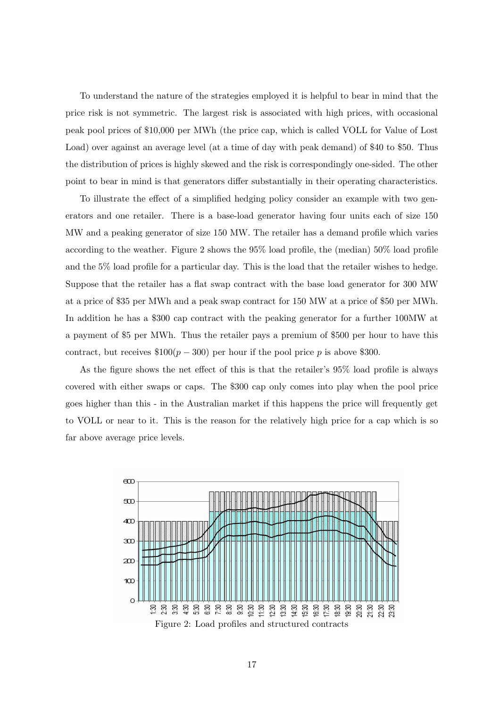To understand the nature of the strategies employed it is helpful to bear in mind that the price risk is not symmetric. The largest risk is associated with high prices, with occasional peak pool prices of \$10,000 per MWh (the price cap, which is called VOLL for Value of Lost Load) over against an average level (at a time of day with peak demand) of \$40 to \$50. Thus the distribution of prices is highly skewed and the risk is correspondingly one-sided. The other point to bear in mind is that generators differ substantially in their operating characteristics.

To illustrate the effect of a simplified hedging policy consider an example with two generators and one retailer. There is a base-load generator having four units each of size 150 MW and a peaking generator of size 150 MW. The retailer has a demand profile which varies according to the weather. Figure 2 shows the 95% load profile, the (median) 50% load profile and the 5% load profile for a particular day. This is the load that the retailer wishes to hedge. Suppose that the retailer has a flat swap contract with the base load generator for 300 MW at a price of \$35 per MWh and a peak swap contract for 150 MW at a price of \$50 per MWh. In addition he has a \$300 cap contract with the peaking generator for a further 100MW at a payment of \$5 per MWh. Thus the retailer pays a premium of \$500 per hour to have this contract, but receives  $$100(p - 300)$  per hour if the pool price p is above \$300.

As the figure shows the net effect of this is that the retailer's 95% load profile is always covered with either swaps or caps. The \$300 cap only comes into play when the pool price goes higher than this - in the Australian market if this happens the price will frequently get to VOLL or near to it. This is the reason for the relatively high price for a cap which is so far above average price levels.

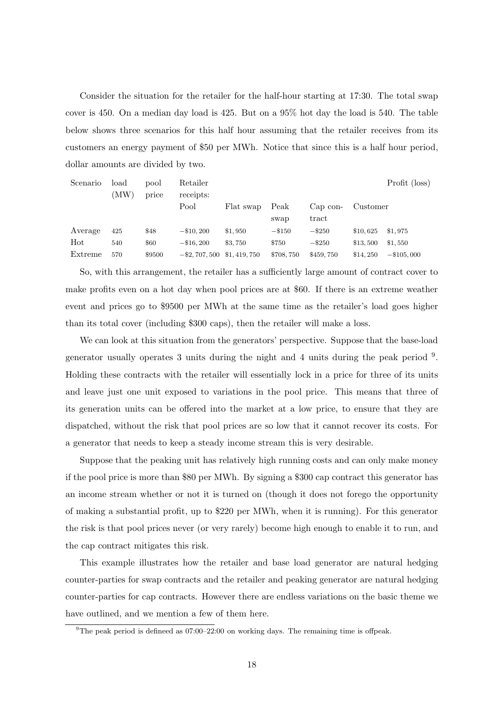Consider the situation for the retailer for the half-hour starting at 17:30. The total swap cover is 450. On a median day load is 425. But on a 95% hot day the load is 540. The table below shows three scenarios for this half hour assuming that the retailer receives from its customers an energy payment of \$50 per MWh. Notice that since this is a half hour period, dollar amounts are divided by two.

| Scenario | load | pool   | Retailer                    |           |           |            |          | Profit (loss) |
|----------|------|--------|-----------------------------|-----------|-----------|------------|----------|---------------|
|          | (MW) | price  | receipts:                   |           |           |            |          |               |
|          |      |        | Pool                        | Flat swap | Peak      | $Cap$ con- | Customer |               |
|          |      |        |                             |           | swap      | tract      |          |               |
| Average  | 425  | \$48   | $-\$10,200$                 | \$1,950   | $-\$150$  | $-\$250$   | \$10,625 | \$1,975       |
| Hot      | 540  | \$60   | $-\$16,200$                 | \$3,750   | \$750     | $-\$250$   | \$13,500 | \$1,550       |
| Extreme  | 570  | \$9500 | $-$ \$2,707,500 \$1,419,750 |           | \$708,750 | \$459,750  | \$14,250 | $-\$105,000$  |

So, with this arrangement, the retailer has a sufficiently large amount of contract cover to make profits even on a hot day when pool prices are at \$60. If there is an extreme weather event and prices go to \$9500 per MWh at the same time as the retailer's load goes higher than its total cover (including \$300 caps), then the retailer will make a loss.

We can look at this situation from the generators' perspective. Suppose that the base-load generator usually operates 3 units during the night and 4 units during the peak period <sup>9</sup>. Holding these contracts with the retailer will essentially lock in a price for three of its units and leave just one unit exposed to variations in the pool price. This means that three of its generation units can be offered into the market at a low price, to ensure that they are dispatched, without the risk that pool prices are so low that it cannot recover its costs. For a generator that needs to keep a steady income stream this is very desirable.

Suppose that the peaking unit has relatively high running costs and can only make money if the pool price is more than \$80 per MWh. By signing a \$300 cap contract this generator has an income stream whether or not it is turned on (though it does not forego the opportunity of making a substantial profit, up to \$220 per MWh, when it is running). For this generator the risk is that pool prices never (or very rarely) become high enough to enable it to run, and the cap contract mitigates this risk.

This example illustrates how the retailer and base load generator are natural hedging counter-parties for swap contracts and the retailer and peaking generator are natural hedging counter-parties for cap contracts. However there are endless variations on the basic theme we have outlined, and we mention a few of them here.

<sup>&</sup>lt;sup>9</sup>The peak period is defineed as  $07:00-22:00$  on working days. The remaining time is offpeak.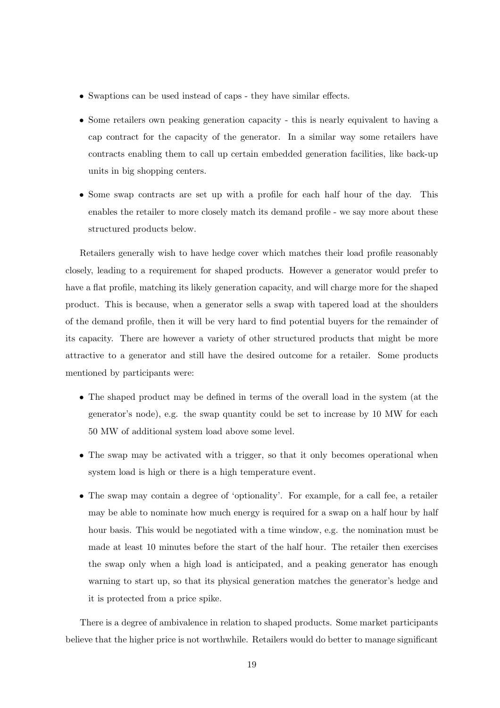- Swaptions can be used instead of caps they have similar effects.
- Some retailers own peaking generation capacity this is nearly equivalent to having a cap contract for the capacity of the generator. In a similar way some retailers have contracts enabling them to call up certain embedded generation facilities, like back-up units in big shopping centers.
- Some swap contracts are set up with a profile for each half hour of the day. This enables the retailer to more closely match its demand profile - we say more about these structured products below.

Retailers generally wish to have hedge cover which matches their load profile reasonably closely, leading to a requirement for shaped products. However a generator would prefer to have a flat profile, matching its likely generation capacity, and will charge more for the shaped product. This is because, when a generator sells a swap with tapered load at the shoulders of the demand profile, then it will be very hard to find potential buyers for the remainder of its capacity. There are however a variety of other structured products that might be more attractive to a generator and still have the desired outcome for a retailer. Some products mentioned by participants were:

- The shaped product may be defined in terms of the overall load in the system (at the generator's node), e.g. the swap quantity could be set to increase by 10 MW for each 50 MW of additional system load above some level.
- The swap may be activated with a trigger, so that it only becomes operational when system load is high or there is a high temperature event.
- The swap may contain a degree of 'optionality'. For example, for a call fee, a retailer may be able to nominate how much energy is required for a swap on a half hour by half hour basis. This would be negotiated with a time window, e.g. the nomination must be made at least 10 minutes before the start of the half hour. The retailer then exercises the swap only when a high load is anticipated, and a peaking generator has enough warning to start up, so that its physical generation matches the generator's hedge and it is protected from a price spike.

There is a degree of ambivalence in relation to shaped products. Some market participants believe that the higher price is not worthwhile. Retailers would do better to manage significant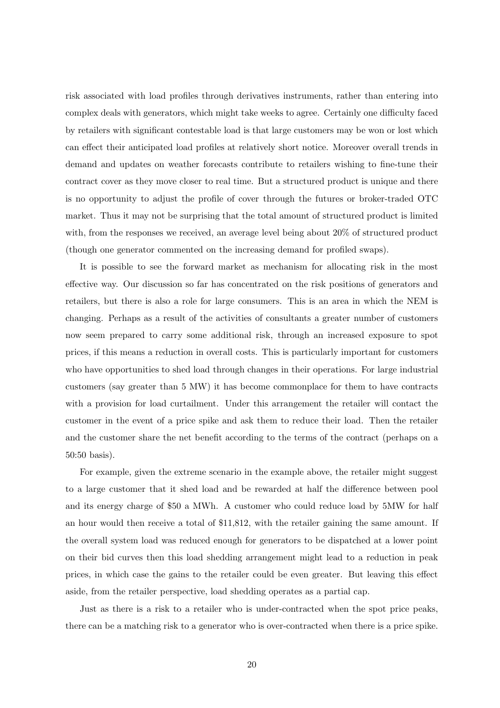risk associated with load profiles through derivatives instruments, rather than entering into complex deals with generators, which might take weeks to agree. Certainly one difficulty faced by retailers with significant contestable load is that large customers may be won or lost which can effect their anticipated load profiles at relatively short notice. Moreover overall trends in demand and updates on weather forecasts contribute to retailers wishing to fine-tune their contract cover as they move closer to real time. But a structured product is unique and there is no opportunity to adjust the profile of cover through the futures or broker-traded OTC market. Thus it may not be surprising that the total amount of structured product is limited with, from the responses we received, an average level being about 20% of structured product (though one generator commented on the increasing demand for profiled swaps).

It is possible to see the forward market as mechanism for allocating risk in the most effective way. Our discussion so far has concentrated on the risk positions of generators and retailers, but there is also a role for large consumers. This is an area in which the NEM is changing. Perhaps as a result of the activities of consultants a greater number of customers now seem prepared to carry some additional risk, through an increased exposure to spot prices, if this means a reduction in overall costs. This is particularly important for customers who have opportunities to shed load through changes in their operations. For large industrial customers (say greater than 5 MW) it has become commonplace for them to have contracts with a provision for load curtailment. Under this arrangement the retailer will contact the customer in the event of a price spike and ask them to reduce their load. Then the retailer and the customer share the net benefit according to the terms of the contract (perhaps on a 50:50 basis).

For example, given the extreme scenario in the example above, the retailer might suggest to a large customer that it shed load and be rewarded at half the difference between pool and its energy charge of \$50 a MWh. A customer who could reduce load by 5MW for half an hour would then receive a total of \$11,812, with the retailer gaining the same amount. If the overall system load was reduced enough for generators to be dispatched at a lower point on their bid curves then this load shedding arrangement might lead to a reduction in peak prices, in which case the gains to the retailer could be even greater. But leaving this effect aside, from the retailer perspective, load shedding operates as a partial cap.

Just as there is a risk to a retailer who is under-contracted when the spot price peaks, there can be a matching risk to a generator who is over-contracted when there is a price spike.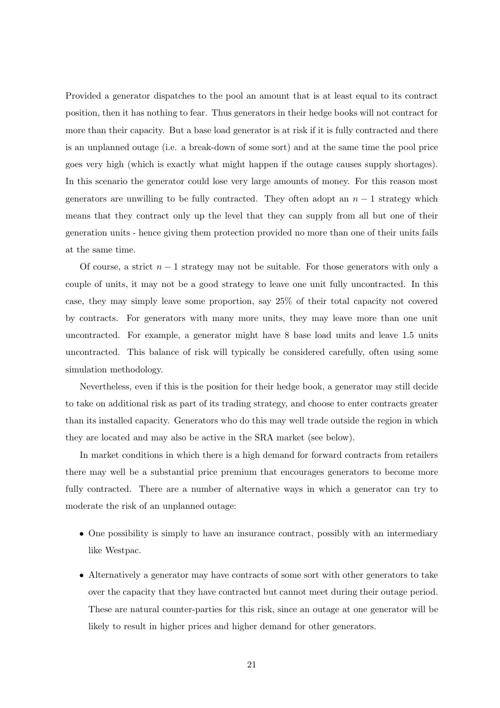Provided a generator dispatches to the pool an amount that is at least equal to its contract position, then it has nothing to fear. Thus generators in their hedge books will not contract for more than their capacity. But a base load generator is at risk if it is fully contracted and there is an unplanned outage (i.e. a break-down of some sort) and at the same time the pool price goes very high (which is exactly what might happen if the outage causes supply shortages). In this scenario the generator could lose very large amounts of money. For this reason most generators are unwilling to be fully contracted. They often adopt an  $n-1$  strategy which means that they contract only up the level that they can supply from all but one of their generation units - hence giving them protection provided no more than one of their units fails at the same time.

Of course, a strict  $n-1$  strategy may not be suitable. For those generators with only a couple of units, it may not be a good strategy to leave one unit fully uncontracted. In this case, they may simply leave some proportion, say 25% of their total capacity not covered by contracts. For generators with many more units, they may leave more than one unit uncontracted. For example, a generator might have 8 base load units and leave 1.5 units uncontracted. This balance of risk will typically be considered carefully, often using some simulation methodology.

Nevertheless, even if this is the position for their hedge book, a generator may still decide to take on additional risk as part of its trading strategy, and choose to enter contracts greater than its installed capacity. Generators who do this may well trade outside the region in which they are located and may also be active in the SRA market (see below).

In market conditions in which there is a high demand for forward contracts from retailers there may well be a substantial price premium that encourages generators to become more fully contracted. There are a number of alternative ways in which a generator can try to moderate the risk of an unplanned outage:

- One possibility is simply to have an insurance contract, possibly with an intermediary like Westpac.
- Alternatively a generator may have contracts of some sort with other generators to take over the capacity that they have contracted but cannot meet during their outage period. These are natural counter-parties for this risk, since an outage at one generator will be likely to result in higher prices and higher demand for other generators.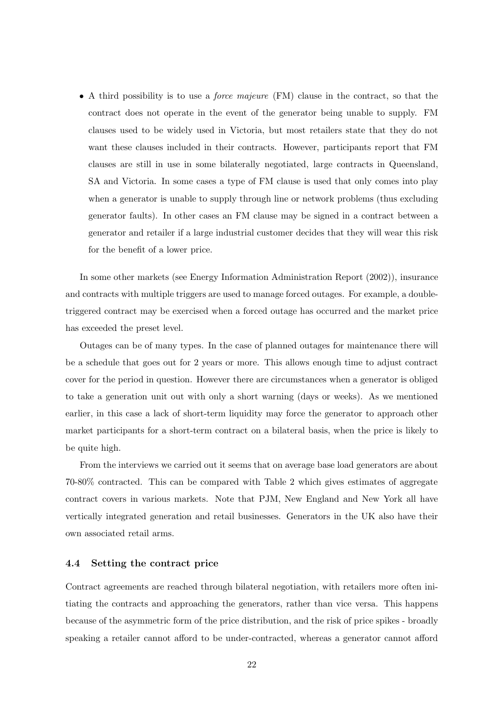• A third possibility is to use a *force majeure* (FM) clause in the contract, so that the contract does not operate in the event of the generator being unable to supply. FM clauses used to be widely used in Victoria, but most retailers state that they do not want these clauses included in their contracts. However, participants report that FM clauses are still in use in some bilaterally negotiated, large contracts in Queensland, SA and Victoria. In some cases a type of FM clause is used that only comes into play when a generator is unable to supply through line or network problems (thus excluding generator faults). In other cases an FM clause may be signed in a contract between a generator and retailer if a large industrial customer decides that they will wear this risk for the benefit of a lower price.

In some other markets (see Energy Information Administration Report (2002)), insurance and contracts with multiple triggers are used to manage forced outages. For example, a doubletriggered contract may be exercised when a forced outage has occurred and the market price has exceeded the preset level.

Outages can be of many types. In the case of planned outages for maintenance there will be a schedule that goes out for 2 years or more. This allows enough time to adjust contract cover for the period in question. However there are circumstances when a generator is obliged to take a generation unit out with only a short warning (days or weeks). As we mentioned earlier, in this case a lack of short-term liquidity may force the generator to approach other market participants for a short-term contract on a bilateral basis, when the price is likely to be quite high.

From the interviews we carried out it seems that on average base load generators are about 70-80% contracted. This can be compared with Table 2 which gives estimates of aggregate contract covers in various markets. Note that PJM, New England and New York all have vertically integrated generation and retail businesses. Generators in the UK also have their own associated retail arms.

#### 4.4 Setting the contract price

Contract agreements are reached through bilateral negotiation, with retailers more often initiating the contracts and approaching the generators, rather than vice versa. This happens because of the asymmetric form of the price distribution, and the risk of price spikes - broadly speaking a retailer cannot afford to be under-contracted, whereas a generator cannot afford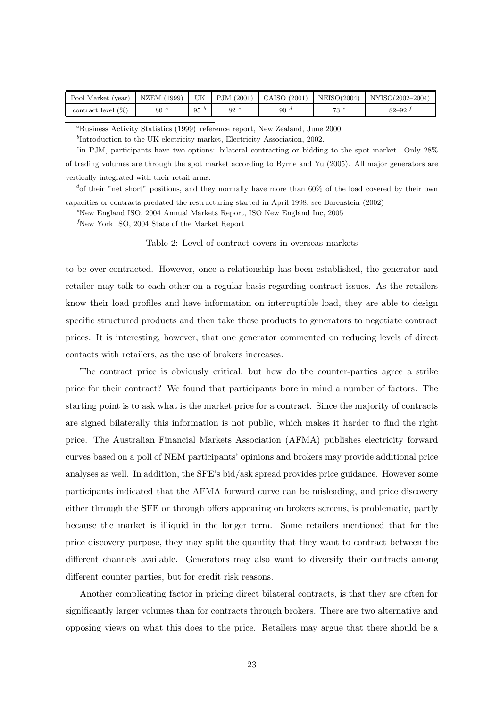| Pool Market (year)    | NZEM (1999)     |    |                 | UK   PJM $(2001)$   CAISO $(2001)$ | NEISO(2004) | NYISO(2002-2004) |
|-----------------------|-----------------|----|-----------------|------------------------------------|-------------|------------------|
| contract level $(\%)$ | 80 <sup>a</sup> | 95 | 82 <sup>c</sup> | 90 <sup>d</sup>                    | 79e         | $82 - 92$        |

<sup>a</sup>Business Activity Statistics (1999)–reference report, New Zealand, June 2000.

<sup>b</sup>Introduction to the UK electricity market, Electricity Association, 2002.

<sup>c</sup>in PJM, participants have two options: bilateral contracting or bidding to the spot market. Only 28% of trading volumes are through the spot market according to Byrne and Yu (2005). All major generators are vertically integrated with their retail arms.

<sup>d</sup>of their "net short" positions, and they normally have more than 60% of the load covered by their own capacities or contracts predated the restructuring started in April 1998, see Borenstein (2002)

<sup>e</sup>New England ISO, 2004 Annual Markets Report, ISO New England Inc, 2005

 $f$ New York ISO, 2004 State of the Market Report

Table 2: Level of contract covers in overseas markets

to be over-contracted. However, once a relationship has been established, the generator and retailer may talk to each other on a regular basis regarding contract issues. As the retailers know their load profiles and have information on interruptible load, they are able to design specific structured products and then take these products to generators to negotiate contract prices. It is interesting, however, that one generator commented on reducing levels of direct contacts with retailers, as the use of brokers increases.

The contract price is obviously critical, but how do the counter-parties agree a strike price for their contract? We found that participants bore in mind a number of factors. The starting point is to ask what is the market price for a contract. Since the majority of contracts are signed bilaterally this information is not public, which makes it harder to find the right price. The Australian Financial Markets Association (AFMA) publishes electricity forward curves based on a poll of NEM participants' opinions and brokers may provide additional price analyses as well. In addition, the SFE's bid/ask spread provides price guidance. However some participants indicated that the AFMA forward curve can be misleading, and price discovery either through the SFE or through offers appearing on brokers screens, is problematic, partly because the market is illiquid in the longer term. Some retailers mentioned that for the price discovery purpose, they may split the quantity that they want to contract between the different channels available. Generators may also want to diversify their contracts among different counter parties, but for credit risk reasons.

Another complicating factor in pricing direct bilateral contracts, is that they are often for significantly larger volumes than for contracts through brokers. There are two alternative and opposing views on what this does to the price. Retailers may argue that there should be a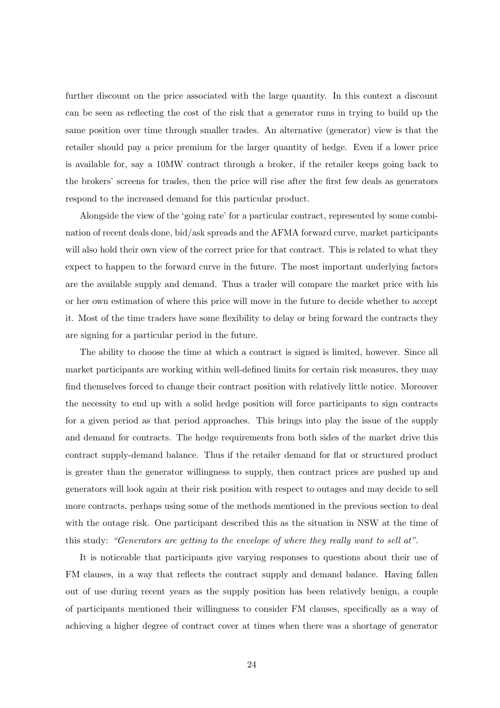further discount on the price associated with the large quantity. In this context a discount can be seen as reflecting the cost of the risk that a generator runs in trying to build up the same position over time through smaller trades. An alternative (generator) view is that the retailer should pay a price premium for the larger quantity of hedge. Even if a lower price is available for, say a 10MW contract through a broker, if the retailer keeps going back to the brokers' screens for trades, then the price will rise after the first few deals as generators respond to the increased demand for this particular product.

Alongside the view of the 'going rate' for a particular contract, represented by some combination of recent deals done, bid/ask spreads and the AFMA forward curve, market participants will also hold their own view of the correct price for that contract. This is related to what they expect to happen to the forward curve in the future. The most important underlying factors are the available supply and demand. Thus a trader will compare the market price with his or her own estimation of where this price will move in the future to decide whether to accept it. Most of the time traders have some flexibility to delay or bring forward the contracts they are signing for a particular period in the future.

The ability to choose the time at which a contract is signed is limited, however. Since all market participants are working within well-defined limits for certain risk measures, they may find themselves forced to change their contract position with relatively little notice. Moreover the necessity to end up with a solid hedge position will force participants to sign contracts for a given period as that period approaches. This brings into play the issue of the supply and demand for contracts. The hedge requirements from both sides of the market drive this contract supply-demand balance. Thus if the retailer demand for flat or structured product is greater than the generator willingness to supply, then contract prices are pushed up and generators will look again at their risk position with respect to outages and may decide to sell more contracts, perhaps using some of the methods mentioned in the previous section to deal with the outage risk. One participant described this as the situation in NSW at the time of this study: "Generators are getting to the envelope of where they really want to sell at".

It is noticeable that participants give varying responses to questions about their use of FM clauses, in a way that reflects the contract supply and demand balance. Having fallen out of use during recent years as the supply position has been relatively benign, a couple of participants mentioned their willingness to consider FM clauses, specifically as a way of achieving a higher degree of contract cover at times when there was a shortage of generator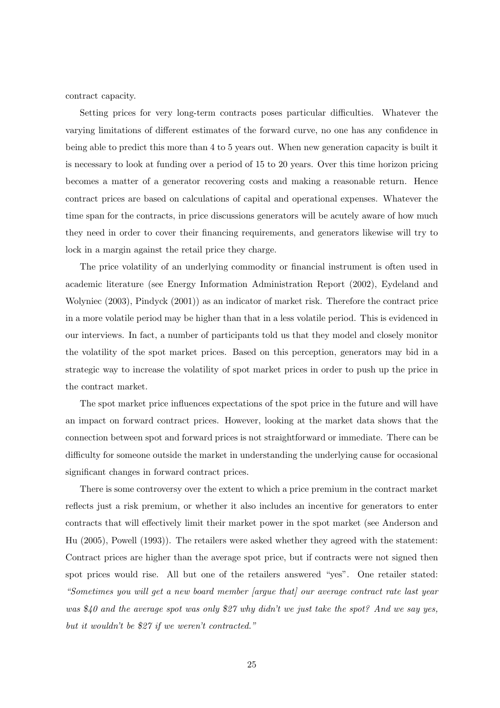contract capacity.

Setting prices for very long-term contracts poses particular difficulties. Whatever the varying limitations of different estimates of the forward curve, no one has any confidence in being able to predict this more than 4 to 5 years out. When new generation capacity is built it is necessary to look at funding over a period of 15 to 20 years. Over this time horizon pricing becomes a matter of a generator recovering costs and making a reasonable return. Hence contract prices are based on calculations of capital and operational expenses. Whatever the time span for the contracts, in price discussions generators will be acutely aware of how much they need in order to cover their financing requirements, and generators likewise will try to lock in a margin against the retail price they charge.

The price volatility of an underlying commodity or financial instrument is often used in academic literature (see Energy Information Administration Report (2002), Eydeland and Wolyniec (2003), Pindyck (2001)) as an indicator of market risk. Therefore the contract price in a more volatile period may be higher than that in a less volatile period. This is evidenced in our interviews. In fact, a number of participants told us that they model and closely monitor the volatility of the spot market prices. Based on this perception, generators may bid in a strategic way to increase the volatility of spot market prices in order to push up the price in the contract market.

The spot market price influences expectations of the spot price in the future and will have an impact on forward contract prices. However, looking at the market data shows that the connection between spot and forward prices is not straightforward or immediate. There can be difficulty for someone outside the market in understanding the underlying cause for occasional significant changes in forward contract prices.

There is some controversy over the extent to which a price premium in the contract market reflects just a risk premium, or whether it also includes an incentive for generators to enter contracts that will effectively limit their market power in the spot market (see Anderson and Hu (2005), Powell (1993)). The retailers were asked whether they agreed with the statement: Contract prices are higher than the average spot price, but if contracts were not signed then spot prices would rise. All but one of the retailers answered "yes". One retailer stated: "Sometimes you will get a new board member [argue that] our average contract rate last year was \$40 and the average spot was only \$27 why didn't we just take the spot? And we say yes, but it wouldn't be \$27 if we weren't contracted."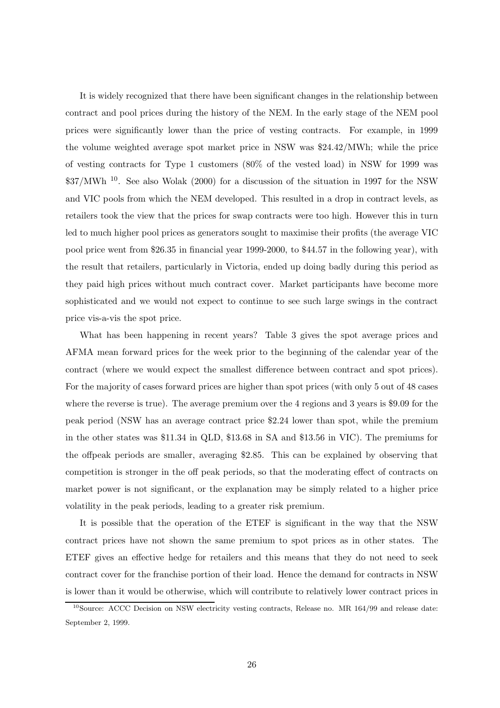It is widely recognized that there have been significant changes in the relationship between contract and pool prices during the history of the NEM. In the early stage of the NEM pool prices were significantly lower than the price of vesting contracts. For example, in 1999 the volume weighted average spot market price in NSW was \$24.42/MWh; while the price of vesting contracts for Type 1 customers (80% of the vested load) in NSW for 1999 was \$37/MWh <sup>10</sup>. See also Wolak (2000) for a discussion of the situation in 1997 for the NSW and VIC pools from which the NEM developed. This resulted in a drop in contract levels, as retailers took the view that the prices for swap contracts were too high. However this in turn led to much higher pool prices as generators sought to maximise their profits (the average VIC pool price went from \$26.35 in financial year 1999-2000, to \$44.57 in the following year), with the result that retailers, particularly in Victoria, ended up doing badly during this period as they paid high prices without much contract cover. Market participants have become more sophisticated and we would not expect to continue to see such large swings in the contract price vis-a-vis the spot price.

What has been happening in recent years? Table 3 gives the spot average prices and AFMA mean forward prices for the week prior to the beginning of the calendar year of the contract (where we would expect the smallest difference between contract and spot prices). For the majority of cases forward prices are higher than spot prices (with only 5 out of 48 cases where the reverse is true). The average premium over the 4 regions and 3 years is \$9.09 for the peak period (NSW has an average contract price \$2.24 lower than spot, while the premium in the other states was \$11.34 in QLD, \$13.68 in SA and \$13.56 in VIC). The premiums for the offpeak periods are smaller, averaging \$2.85. This can be explained by observing that competition is stronger in the off peak periods, so that the moderating effect of contracts on market power is not significant, or the explanation may be simply related to a higher price volatility in the peak periods, leading to a greater risk premium.

It is possible that the operation of the ETEF is significant in the way that the NSW contract prices have not shown the same premium to spot prices as in other states. The ETEF gives an effective hedge for retailers and this means that they do not need to seek contract cover for the franchise portion of their load. Hence the demand for contracts in NSW is lower than it would be otherwise, which will contribute to relatively lower contract prices in

<sup>&</sup>lt;sup>10</sup>Source: ACCC Decision on NSW electricity vesting contracts, Release no. MR 164/99 and release date: September 2, 1999.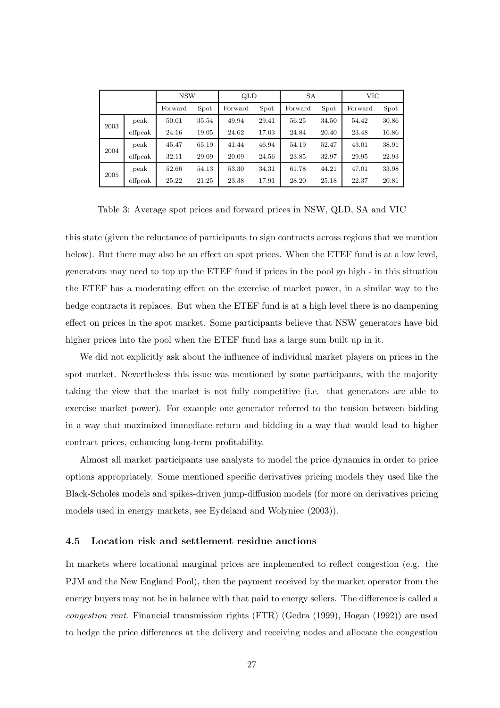|      |         | <b>NSW</b> |       | QLD     |       | <b>SA</b> |       | VIC     |       |
|------|---------|------------|-------|---------|-------|-----------|-------|---------|-------|
|      |         | Forward    | Spot  | Forward | Spot  | Forward   | Spot  | Forward | Spot  |
| 2003 | peak    | 50.01      | 35.54 | 49.94   | 29.41 | 56.25     | 34.50 | 54.42   | 30.86 |
|      | offpeak | 24.16      | 19.05 | 24.62   | 17.03 | 24.84     | 20.40 | 23.48   | 16.86 |
| 2004 | peak    | 45.47      | 65.19 | 41.44   | 46.94 | 54.19     | 52.47 | 43.01   | 38.91 |
|      | offpeak | 32.11      | 29.09 | 20.09   | 24.56 | 23.85     | 32.97 | 29.95   | 22.93 |
| 2005 | peak    | 52.66      | 54.13 | 53.30   | 34.31 | 61.78     | 44.21 | 47.01   | 33.98 |
|      | offpeak | 25.22      | 21.25 | 23.38   | 17.91 | 28.20     | 25.18 | 22.37   | 20.81 |

Table 3: Average spot prices and forward prices in NSW, QLD, SA and VIC

this state (given the reluctance of participants to sign contracts across regions that we mention below). But there may also be an effect on spot prices. When the ETEF fund is at a low level, generators may need to top up the ETEF fund if prices in the pool go high - in this situation the ETEF has a moderating effect on the exercise of market power, in a similar way to the hedge contracts it replaces. But when the ETEF fund is at a high level there is no dampening effect on prices in the spot market. Some participants believe that NSW generators have bid higher prices into the pool when the ETEF fund has a large sum built up in it.

We did not explicitly ask about the influence of individual market players on prices in the spot market. Nevertheless this issue was mentioned by some participants, with the majority taking the view that the market is not fully competitive (i.e. that generators are able to exercise market power). For example one generator referred to the tension between bidding in a way that maximized immediate return and bidding in a way that would lead to higher contract prices, enhancing long-term profitability.

Almost all market participants use analysts to model the price dynamics in order to price options appropriately. Some mentioned specific derivatives pricing models they used like the Black-Scholes models and spikes-driven jump-diffusion models (for more on derivatives pricing models used in energy markets, see Eydeland and Wolyniec (2003)).

## 4.5 Location risk and settlement residue auctions

In markets where locational marginal prices are implemented to reflect congestion (e.g. the PJM and the New England Pool), then the payment received by the market operator from the energy buyers may not be in balance with that paid to energy sellers. The difference is called a congestion rent. Financial transmission rights (FTR) (Gedra (1999), Hogan (1992)) are used to hedge the price differences at the delivery and receiving nodes and allocate the congestion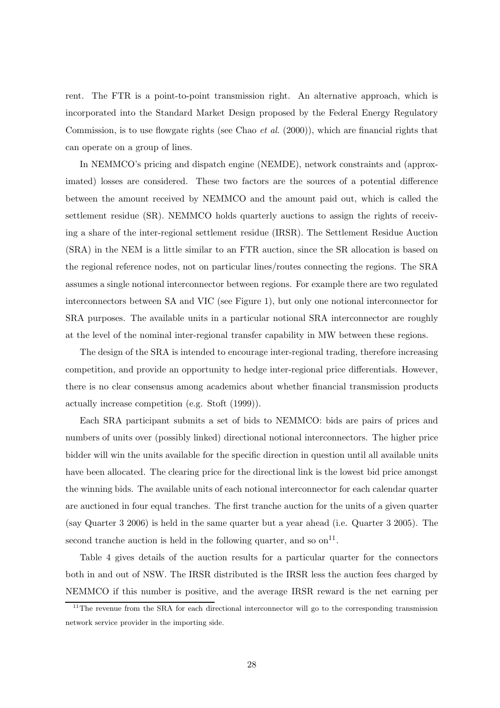rent. The FTR is a point-to-point transmission right. An alternative approach, which is incorporated into the Standard Market Design proposed by the Federal Energy Regulatory Commission, is to use flowgate rights (see Chao *et al.*  $(2000)$ ), which are financial rights that can operate on a group of lines.

In NEMMCO's pricing and dispatch engine (NEMDE), network constraints and (approximated) losses are considered. These two factors are the sources of a potential difference between the amount received by NEMMCO and the amount paid out, which is called the settlement residue (SR). NEMMCO holds quarterly auctions to assign the rights of receiving a share of the inter-regional settlement residue (IRSR). The Settlement Residue Auction (SRA) in the NEM is a little similar to an FTR auction, since the SR allocation is based on the regional reference nodes, not on particular lines/routes connecting the regions. The SRA assumes a single notional interconnector between regions. For example there are two regulated interconnectors between SA and VIC (see Figure 1), but only one notional interconnector for SRA purposes. The available units in a particular notional SRA interconnector are roughly at the level of the nominal inter-regional transfer capability in MW between these regions.

The design of the SRA is intended to encourage inter-regional trading, therefore increasing competition, and provide an opportunity to hedge inter-regional price differentials. However, there is no clear consensus among academics about whether financial transmission products actually increase competition (e.g. Stoft (1999)).

Each SRA participant submits a set of bids to NEMMCO: bids are pairs of prices and numbers of units over (possibly linked) directional notional interconnectors. The higher price bidder will win the units available for the specific direction in question until all available units have been allocated. The clearing price for the directional link is the lowest bid price amongst the winning bids. The available units of each notional interconnector for each calendar quarter are auctioned in four equal tranches. The first tranche auction for the units of a given quarter (say Quarter 3 2006) is held in the same quarter but a year ahead (i.e. Quarter 3 2005). The second tranche auction is held in the following quarter, and so  $\text{on}^{11}$ .

Table 4 gives details of the auction results for a particular quarter for the connectors both in and out of NSW. The IRSR distributed is the IRSR less the auction fees charged by NEMMCO if this number is positive, and the average IRSR reward is the net earning per

<sup>&</sup>lt;sup>11</sup>The revenue from the SRA for each directional interconnector will go to the corresponding transmission network service provider in the importing side.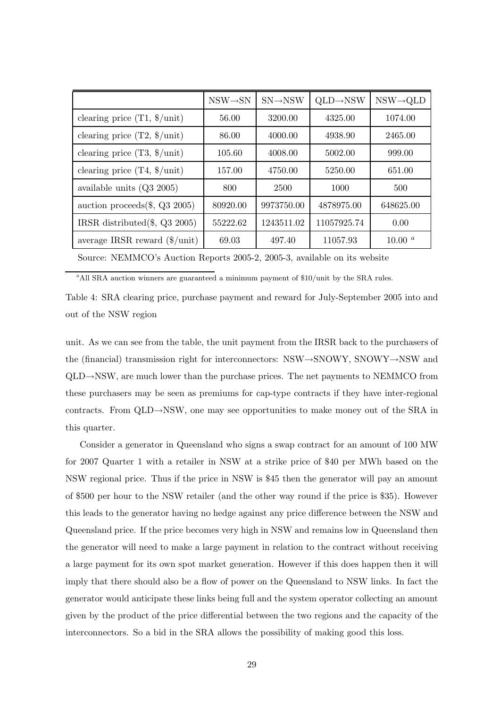|                                              | $NSW \rightarrow SN$ | $SN \rightarrow NSW$ | $QLD \rightarrow NSW$ | $NSW \rightarrow QLD$ |
|----------------------------------------------|----------------------|----------------------|-----------------------|-----------------------|
| clearing price $(T1, \frac{6}{\text{unit}})$ | 56.00                | 3200.00              | 4325.00               | 1074.00               |
| clearing price $(T2, \frac{6}{\text{unit}})$ | 86.00                | 4000.00              | 4938.90               | 2465.00               |
| clearing price $(T3, \frac{6}{\text{unit}})$ | 105.60               | 4008.00              | 5002.00               | 999.00                |
| clearing price $(T4, \frac{6}{\text{unit}})$ | 157.00               | 4750.00              | 5250.00               | 651.00                |
| available units $(Q3 2005)$                  | 800                  | 2500                 | 1000                  | 500                   |
| auction proceeds $(\$$ , $Q3$ 2005)          | 80920.00             | 9973750.00           | 4878975.00            | 648625.00             |
| IRSR distributed $($, Q3 2005)$              | 55222.62             | 1243511.02           | 11057925.74           | 0.00                  |
| average IRSR reward $(\frac{1}{2})$ unit)    | 69.03                | 497.40               | 11057.93              | 10.00 <sup>a</sup>    |

Source: NEMMCO's Auction Reports 2005-2, 2005-3, available on its website

<sup>a</sup>All SRA auction winners are guaranteed a minimum payment of  $$10/unit$  by the SRA rules.

Table 4: SRA clearing price, purchase payment and reward for July-September 2005 into and out of the NSW region

unit. As we can see from the table, the unit payment from the IRSR back to the purchasers of the (financial) transmission right for interconnectors: NSW→SNOWY, SNOWY→NSW and QLD→NSW, are much lower than the purchase prices. The net payments to NEMMCO from these purchasers may be seen as premiums for cap-type contracts if they have inter-regional contracts. From QLD→NSW, one may see opportunities to make money out of the SRA in this quarter.

Consider a generator in Queensland who signs a swap contract for an amount of 100 MW for 2007 Quarter 1 with a retailer in NSW at a strike price of \$40 per MWh based on the NSW regional price. Thus if the price in NSW is \$45 then the generator will pay an amount of \$500 per hour to the NSW retailer (and the other way round if the price is \$35). However this leads to the generator having no hedge against any price difference between the NSW and Queensland price. If the price becomes very high in NSW and remains low in Queensland then the generator will need to make a large payment in relation to the contract without receiving a large payment for its own spot market generation. However if this does happen then it will imply that there should also be a flow of power on the Queensland to NSW links. In fact the generator would anticipate these links being full and the system operator collecting an amount given by the product of the price differential between the two regions and the capacity of the interconnectors. So a bid in the SRA allows the possibility of making good this loss.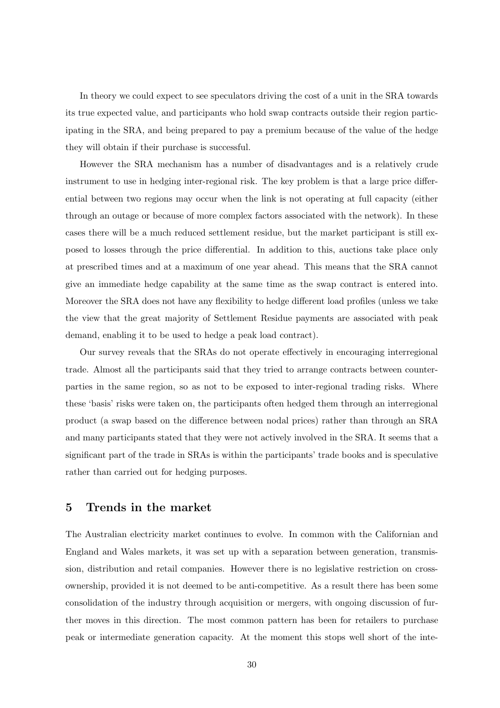In theory we could expect to see speculators driving the cost of a unit in the SRA towards its true expected value, and participants who hold swap contracts outside their region participating in the SRA, and being prepared to pay a premium because of the value of the hedge they will obtain if their purchase is successful.

However the SRA mechanism has a number of disadvantages and is a relatively crude instrument to use in hedging inter-regional risk. The key problem is that a large price differential between two regions may occur when the link is not operating at full capacity (either through an outage or because of more complex factors associated with the network). In these cases there will be a much reduced settlement residue, but the market participant is still exposed to losses through the price differential. In addition to this, auctions take place only at prescribed times and at a maximum of one year ahead. This means that the SRA cannot give an immediate hedge capability at the same time as the swap contract is entered into. Moreover the SRA does not have any flexibility to hedge different load profiles (unless we take the view that the great majority of Settlement Residue payments are associated with peak demand, enabling it to be used to hedge a peak load contract).

Our survey reveals that the SRAs do not operate effectively in encouraging interregional trade. Almost all the participants said that they tried to arrange contracts between counterparties in the same region, so as not to be exposed to inter-regional trading risks. Where these 'basis' risks were taken on, the participants often hedged them through an interregional product (a swap based on the difference between nodal prices) rather than through an SRA and many participants stated that they were not actively involved in the SRA. It seems that a significant part of the trade in SRAs is within the participants' trade books and is speculative rather than carried out for hedging purposes.

## 5 Trends in the market

The Australian electricity market continues to evolve. In common with the Californian and England and Wales markets, it was set up with a separation between generation, transmission, distribution and retail companies. However there is no legislative restriction on crossownership, provided it is not deemed to be anti-competitive. As a result there has been some consolidation of the industry through acquisition or mergers, with ongoing discussion of further moves in this direction. The most common pattern has been for retailers to purchase peak or intermediate generation capacity. At the moment this stops well short of the inte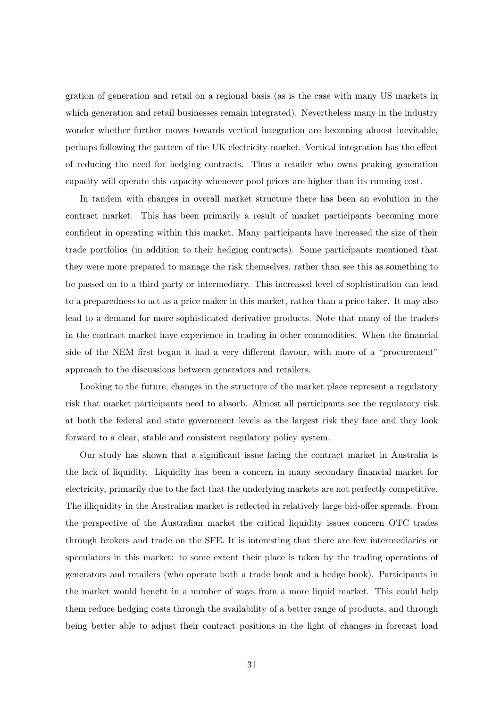gration of generation and retail on a regional basis (as is the case with many US markets in which generation and retail businesses remain integrated). Nevertheless many in the industry wonder whether further moves towards vertical integration are becoming almost inevitable, perhaps following the pattern of the UK electricity market. Vertical integration has the effect of reducing the need for hedging contracts. Thus a retailer who owns peaking generation capacity will operate this capacity whenever pool prices are higher than its running cost.

In tandem with changes in overall market structure there has been an evolution in the contract market. This has been primarily a result of market participants becoming more confident in operating within this market. Many participants have increased the size of their trade portfolios (in addition to their hedging contracts). Some participants mentioned that they were more prepared to manage the risk themselves, rather than see this as something to be passed on to a third party or intermediary. This increased level of sophistication can lead to a preparedness to act as a price maker in this market, rather than a price taker. It may also lead to a demand for more sophisticated derivative products. Note that many of the traders in the contract market have experience in trading in other commodities. When the financial side of the NEM first began it had a very different flavour, with more of a "procurement" approach to the discussions between generators and retailers.

Looking to the future, changes in the structure of the market place represent a regulatory risk that market participants need to absorb. Almost all participants see the regulatory risk at both the federal and state government levels as the largest risk they face and they look forward to a clear, stable and consistent regulatory policy system.

Our study has shown that a significant issue facing the contract market in Australia is the lack of liquidity. Liquidity has been a concern in many secondary financial market for electricity, primarily due to the fact that the underlying markets are not perfectly competitive. The illiquidity in the Australian market is reflected in relatively large bid-offer spreads. From the perspective of the Australian market the critical liquidity issues concern OTC trades through brokers and trade on the SFE. It is interesting that there are few intermediaries or speculators in this market: to some extent their place is taken by the trading operations of generators and retailers (who operate both a trade book and a hedge book). Participants in the market would benefit in a number of ways from a more liquid market. This could help them reduce hedging costs through the availability of a better range of products, and through being better able to adjust their contract positions in the light of changes in forecast load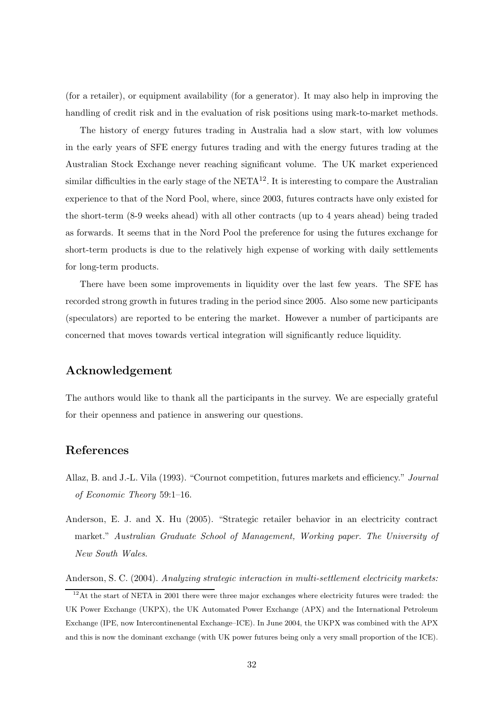(for a retailer), or equipment availability (for a generator). It may also help in improving the handling of credit risk and in the evaluation of risk positions using mark-to-market methods.

The history of energy futures trading in Australia had a slow start, with low volumes in the early years of SFE energy futures trading and with the energy futures trading at the Australian Stock Exchange never reaching significant volume. The UK market experienced similar difficulties in the early stage of the  $NETA<sup>12</sup>$ . It is interesting to compare the Australian experience to that of the Nord Pool, where, since 2003, futures contracts have only existed for the short-term (8-9 weeks ahead) with all other contracts (up to 4 years ahead) being traded as forwards. It seems that in the Nord Pool the preference for using the futures exchange for short-term products is due to the relatively high expense of working with daily settlements for long-term products.

There have been some improvements in liquidity over the last few years. The SFE has recorded strong growth in futures trading in the period since 2005. Also some new participants (speculators) are reported to be entering the market. However a number of participants are concerned that moves towards vertical integration will significantly reduce liquidity.

## Acknowledgement

The authors would like to thank all the participants in the survey. We are especially grateful for their openness and patience in answering our questions.

# References

- Allaz, B. and J.-L. Vila (1993). "Cournot competition, futures markets and efficiency." Journal of Economic Theory 59:1–16.
- Anderson, E. J. and X. Hu (2005). "Strategic retailer behavior in an electricity contract market." Australian Graduate School of Management, Working paper. The University of New South Wales.

Anderson, S. C. (2004). Analyzing strategic interaction in multi-settlement electricity markets:

 $12$ At the start of NETA in 2001 there were three major exchanges where electricity futures were traded: the UK Power Exchange (UKPX), the UK Automated Power Exchange (APX) and the International Petroleum Exchange (IPE, now Intercontinenental Exchange–ICE). In June 2004, the UKPX was combined with the APX and this is now the dominant exchange (with UK power futures being only a very small proportion of the ICE).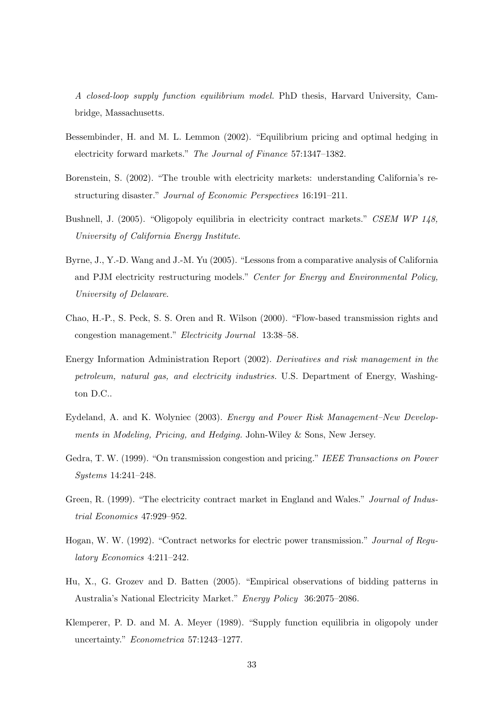A closed-loop supply function equilibrium model. PhD thesis, Harvard University, Cambridge, Massachusetts.

- Bessembinder, H. and M. L. Lemmon (2002). "Equilibrium pricing and optimal hedging in electricity forward markets." The Journal of Finance 57:1347–1382.
- Borenstein, S. (2002). "The trouble with electricity markets: understanding California's restructuring disaster." Journal of Economic Perspectives 16:191–211.
- Bushnell, J. (2005). "Oligopoly equilibria in electricity contract markets." CSEM WP 148. University of California Energy Institute.
- Byrne, J., Y.-D. Wang and J.-M. Yu (2005). "Lessons from a comparative analysis of California and PJM electricity restructuring models." Center for Energy and Environmental Policy, University of Delaware.
- Chao, H.-P., S. Peck, S. S. Oren and R. Wilson (2000). "Flow-based transmission rights and congestion management." Electricity Journal 13:38–58.
- Energy Information Administration Report (2002). Derivatives and risk management in the petroleum, natural gas, and electricity industries. U.S. Department of Energy, Washington D.C..
- Eydeland, A. and K. Wolyniec (2003). Energy and Power Risk Management–New Developments in Modeling, Pricing, and Hedging. John-Wiley & Sons, New Jersey.
- Gedra, T. W. (1999). "On transmission congestion and pricing." IEEE Transactions on Power Systems 14:241–248.
- Green, R. (1999). "The electricity contract market in England and Wales." *Journal of Indus*trial Economics 47:929–952.
- Hogan, W. W. (1992). "Contract networks for electric power transmission." Journal of Regulatory Economics 4:211–242.
- Hu, X., G. Grozev and D. Batten (2005). "Empirical observations of bidding patterns in Australia's National Electricity Market." Energy Policy 36:2075–2086.
- Klemperer, P. D. and M. A. Meyer (1989). "Supply function equilibria in oligopoly under uncertainty." Econometrica 57:1243–1277.